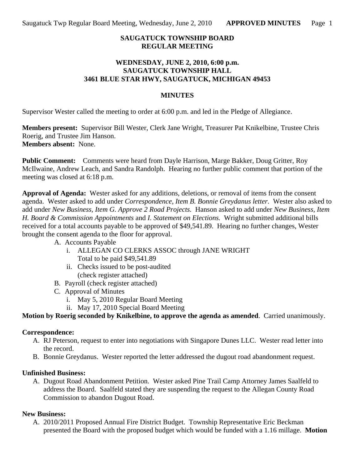#### **SAUGATUCK TOWNSHIP BOARD REGULAR MEETING**

#### **WEDNESDAY, JUNE 2, 2010, 6:00 p.m. SAUGATUCK TOWNSHIP HALL 3461 BLUE STAR HWY, SAUGATUCK, MICHIGAN 49453**

#### **MINUTES**

Supervisor Wester called the meeting to order at 6:00 p.m. and led in the Pledge of Allegiance.

**Members present:** Supervisor Bill Wester, Clerk Jane Wright, Treasurer Pat Knikelbine, Trustee Chris Roerig, and Trustee Jim Hanson. **Members absent:** None.

**Public Comment:** Comments were heard from Dayle Harrison, Marge Bakker, Doug Gritter, Roy McIlwaine, Andrew Leach, and Sandra Randolph. Hearing no further public comment that portion of the meeting was closed at 6:18 p.m.

**Approval of Agenda:** Wester asked for any additions, deletions, or removal of items from the consent agenda. Wester asked to add under *Correspondence, Item B. Bonnie Greydanus letter.* Wester also asked to add under *New Business, Item G. Approve 2 Road Projects.* Hanson asked to add under *New Business, Item H. Board & Commission Appointments* and *I. Statement on Elections.* Wright submitted additional bills received for a total accounts payable to be approved of \$49,541.89. Hearing no further changes, Wester brought the consent agenda to the floor for approval.

A. Accounts Payable

- i. ALLEGAN CO CLERKS ASSOC through JANE WRIGHT Total to be paid \$49,541.89
- ii. Checks issued to be post-audited (check register attached)
- B. Payroll (check register attached)
- C. Approval of Minutes
	- i. May 5, 2010 Regular Board Meeting
	- ii. May 17, 2010 Special Board Meeting

## **Motion by Roerig seconded by Knikelbine, to approve the agenda as amended**. Carried unanimously.

## **Correspondence:**

- A. RJ Peterson, request to enter into negotiations with Singapore Dunes LLC. Wester read letter into the record.
- B. Bonnie Greydanus. Wester reported the letter addressed the dugout road abandonment request.

## **Unfinished Business:**

A. Dugout Road Abandonment Petition. Wester asked Pine Trail Camp Attorney James Saalfeld to address the Board. Saalfeld stated they are suspending the request to the Allegan County Road Commission to abandon Dugout Road.

## **New Business:**

A. 2010/2011 Proposed Annual Fire District Budget. Township Representative Eric Beckman presented the Board with the proposed budget which would be funded with a 1.16 millage. **Motion**